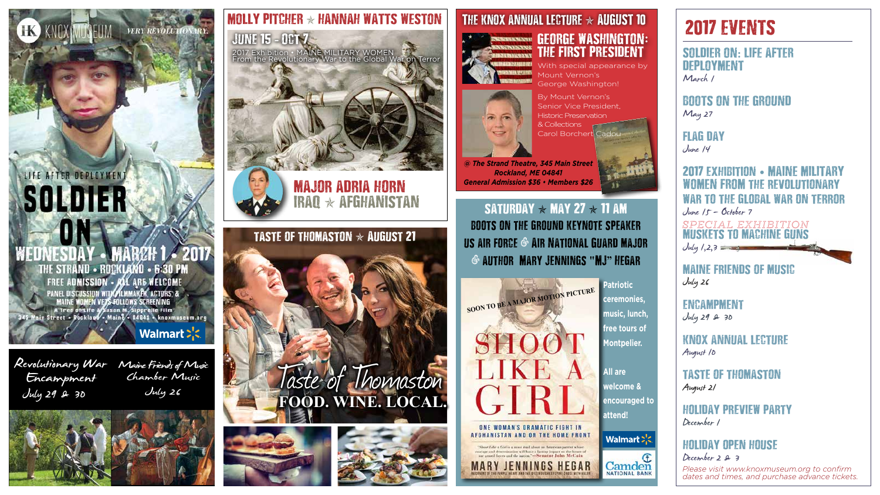# LIFE AFTER DEPLOYMENT SOLDIER THE STRAND - ROCKLAND - 6:30 PM FREE ADMISSION - ALL ARE WELCOME

PANEL DISCUSSION WITH THE ACTORS: &<br>MAINE WOMEN VERSEOLLOWS SCREENING<br>A Tree of Life system M. Sipprelle Film<br>345 Main Street . Rockland . Maing . 04841 . knoxmuseum.org

Walmart >'<

VERY REVOLUTIONARY.



Maine Friends of Music Taine Friends of Mu<br>Chamber Music July 26





SATURDAY  $\star$  MAY 27  $\star$  11 AM boots on the ground keynote speaker us air force **&** Air National Guard major **&** author Mary Jennings **"**MJ**"** Hegar

By Mount Vernon's Senior Vice President, Historic Preservation & Collections Carol Borchert Cadou



*@ The Strand Theatre, 345 Main Street Rockland, ME 04841 General Admission \$36 • Members \$26*

# major adria horn IRAQ  $\star$  Afghanistan

With special appearance by Mount Vernon's George Washington!









# THE KNOX ANNUAL LECTURE  $\star$  AUGUST 10



**Patriotic ceremonies, music, lunch, free tours of Montpelier.** 

**All are welcome & encouraged to attend!**

Walmart > <

# GEORGE WASHINGTON**:** THE FIRST PRESIDENT

# 2017 EVENTS

*Please visit www.knoxmuseum.org to confirm dates and times, and purchase advance tickets.*

#### June 15 **-** Oct 7 2017 Exhibition • MAINE MILITARY WOMEN From the Revolutionary War to the Global War on Terror



#### SOLDIER ON**:** LIFE AFTER DEPLOYMENT March 1

BOOTS ON THE GROUND May 27

### flag day

June 14

#### 2017 exhibition • MAINE MILITARY WOMEN FROM the revolutionary war to the global war on terror June 15 - October 7

#### maine friends of music July 26

**ENCAMPMENT** 

July 29 & 30

#### knox annual lecture August 10

muskets to machine guns  $July / 2,3 = 3$ SPECIAL EXHIBITION

# taste of thomaston

August 21

#### holiday preview party December 1

## holiday open house

December 2 & 3